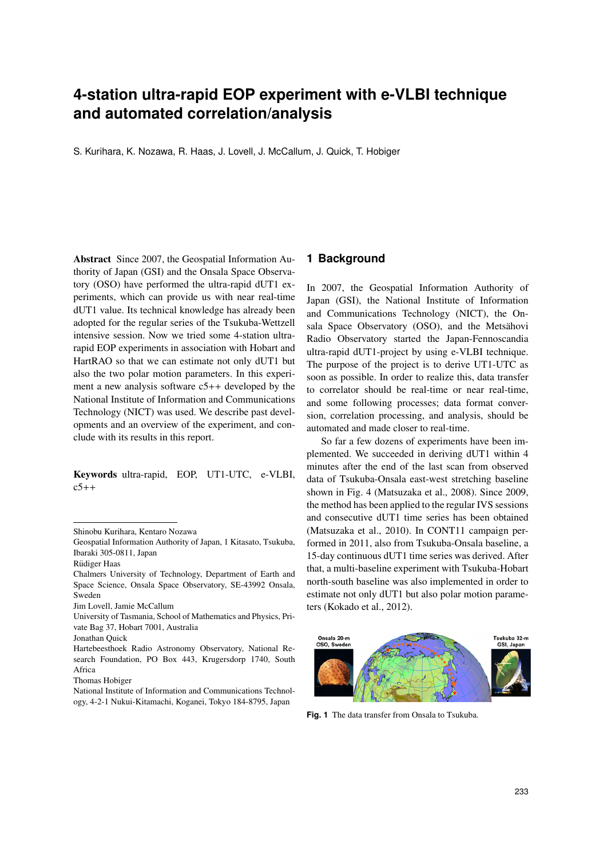# **4-station ultra-rapid EOP experiment with e-VLBI technique and automated correlation/analysis**

S. Kurihara, K. Nozawa, R. Haas, J. Lovell, J. McCallum, J. Quick, T. Hobiger

Abstract Since 2007, the Geospatial Information Authority of Japan (GSI) and the Onsala Space Observatory (OSO) have performed the ultra-rapid dUT1 experiments, which can provide us with near real-time dUT1 value. Its technical knowledge has already been adopted for the regular series of the Tsukuba-Wettzell intensive session. Now we tried some 4-station ultrarapid EOP experiments in association with Hobart and HartRAO so that we can estimate not only dUT1 but also the two polar motion parameters. In this experiment a new analysis software c5++ developed by the National Institute of Information and Communications Technology (NICT) was used. We describe past developments and an overview of the experiment, and conclude with its results in this report.

Keywords ultra-rapid, EOP, UT1-UTC, e-VLBI,  $c5++$ 

Chalmers University of Technology, Department of Earth and Space Science, Onsala Space Observatory, SE-43992 Onsala, Sweden

## **1 Background**

In 2007, the Geospatial Information Authority of Japan (GSI), the National Institute of Information and Communications Technology (NICT), the Onsala Space Observatory (OSO), and the Metsähovi Radio Observatory started the Japan-Fennoscandia ultra-rapid dUT1-project by using e-VLBI technique. The purpose of the project is to derive UT1-UTC as soon as possible. In order to realize this, data transfer to correlator should be real-time or near real-time, and some following processes; data format conversion, correlation processing, and analysis, should be automated and made closer to real-time.

So far a few dozens of experiments have been implemented. We succeeded in deriving dUT1 within 4 minutes after the end of the last scan from observed data of Tsukuba-Onsala east-west stretching baseline shown in Fig. 4 (Matsuzaka et al., 2008). Since 2009, the method has been applied to the regular IVS sessions and consecutive dUT1 time series has been obtained (Matsuzaka et al., 2010). In CONT11 campaign performed in 2011, also from Tsukuba-Onsala baseline, a 15-day continuous dUT1 time series was derived. After that, a multi-baseline experiment with Tsukuba-Hobart north-south baseline was also implemented in order to estimate not only dUT1 but also polar motion parameters (Kokado et al., 2012).



**Fig. 1** The data transfer from Onsala to Tsukuba.

Shinobu Kurihara, Kentaro Nozawa

Geospatial Information Authority of Japan, 1 Kitasato, Tsukuba, Ibaraki 305-0811, Japan

Rüdiger Haas

Jim Lovell, Jamie McCallum

University of Tasmania, School of Mathematics and Physics, Private Bag 37, Hobart 7001, Australia

Jonathan Quick

Hartebeesthoek Radio Astronomy Observatory, National Research Foundation, PO Box 443, Krugersdorp 1740, South Africa

Thomas Hobiger

National Institute of Information and Communications Technology, 4-2-1 Nukui-Kitamachi, Koganei, Tokyo 184-8795, Japan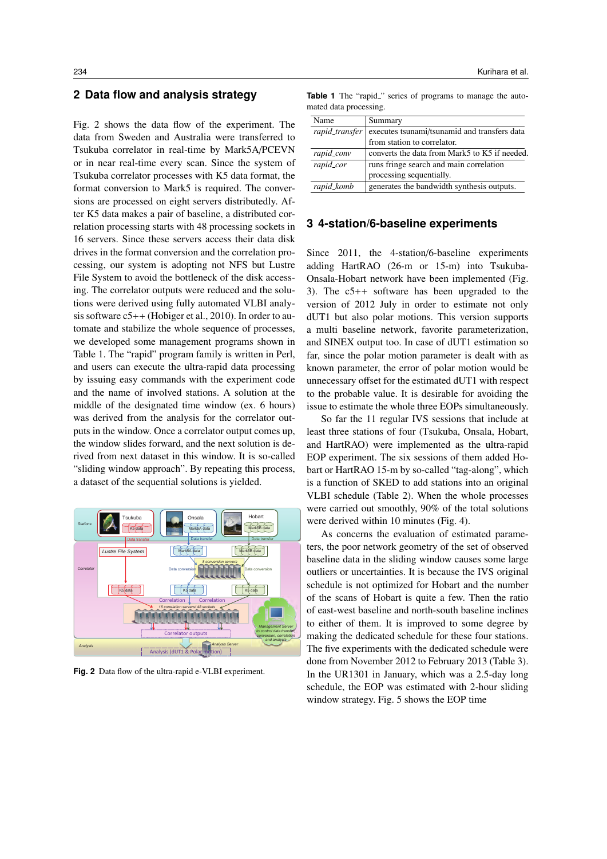# **2 Data flow and analysis strategy**

Fig. 2 shows the data flow of the experiment. The data from Sweden and Australia were transferred to Tsukuba correlator in real-time by Mark5A/PCEVN or in near real-time every scan. Since the system of Tsukuba correlator processes with K5 data format, the format conversion to Mark5 is required. The conversions are processed on eight servers distributedly. After K5 data makes a pair of baseline, a distributed correlation processing starts with 48 processing sockets in 16 servers. Since these servers access their data disk drives in the format conversion and the correlation processing, our system is adopting not NFS but Lustre File System to avoid the bottleneck of the disk accessing. The correlator outputs were reduced and the solutions were derived using fully automated VLBI analysis software c5++ (Hobiger et al., 2010). In order to automate and stabilize the whole sequence of processes, we developed some management programs shown in Table 1. The "rapid" program family is written in Perl, and users can execute the ultra-rapid data processing by issuing easy commands with the experiment code and the name of involved stations. A solution at the middle of the designated time window (ex. 6 hours) was derived from the analysis for the correlator outputs in the window. Once a correlator output comes up, the window slides forward, and the next solution is derived from next dataset in this window. It is so-called "sliding window approach". By repeating this process, a dataset of the sequential solutions is yielded.



**Fig. 2** Data flow of the ultra-rapid e-VLBI experiment.

Table 1 The "rapid<sub>"</sub> series of programs to manage the automated data processing.

| Name           | Summary                                                                     |  |  |  |
|----------------|-----------------------------------------------------------------------------|--|--|--|
| rapid_transfer | executes tsunami/tsunamid and transfers data<br>from station to correlator. |  |  |  |
|                |                                                                             |  |  |  |
| rapid_conv     | converts the data from Mark5 to K5 if needed.                               |  |  |  |
| rapid_cor      | runs fringe search and main correlation                                     |  |  |  |
|                | processing sequentially.                                                    |  |  |  |
| rapid_komb     | generates the bandwidth synthesis outputs.                                  |  |  |  |

#### **3 4-station/6-baseline experiments**

Since 2011, the 4-station/6-baseline experiments adding HartRAO (26-m or 15-m) into Tsukuba-Onsala-Hobart network have been implemented (Fig. 3). The c5++ software has been upgraded to the version of 2012 July in order to estimate not only dUT1 but also polar motions. This version supports a multi baseline network, favorite parameterization, and SINEX output too. In case of dUT1 estimation so far, since the polar motion parameter is dealt with as known parameter, the error of polar motion would be unnecessary offset for the estimated dUT1 with respect to the probable value. It is desirable for avoiding the issue to estimate the whole three EOPs simultaneously.

So far the 11 regular IVS sessions that include at least three stations of four (Tsukuba, Onsala, Hobart, and HartRAO) were implemented as the ultra-rapid EOP experiment. The six sessions of them added Hobart or HartRAO 15-m by so-called "tag-along", which is a function of SKED to add stations into an original VLBI schedule (Table 2). When the whole processes were carried out smoothly, 90% of the total solutions were derived within 10 minutes (Fig. 4).

As concerns the evaluation of estimated parameters, the poor network geometry of the set of observed baseline data in the sliding window causes some large outliers or uncertainties. It is because the IVS original schedule is not optimized for Hobart and the number of the scans of Hobart is quite a few. Then the ratio of east-west baseline and north-south baseline inclines to either of them. It is improved to some degree by making the dedicated schedule for these four stations. The five experiments with the dedicated schedule were done from November 2012 to February 2013 (Table 3). In the UR1301 in January, which was a 2.5-day long schedule, the EOP was estimated with 2-hour sliding window strategy. Fig. 5 shows the EOP time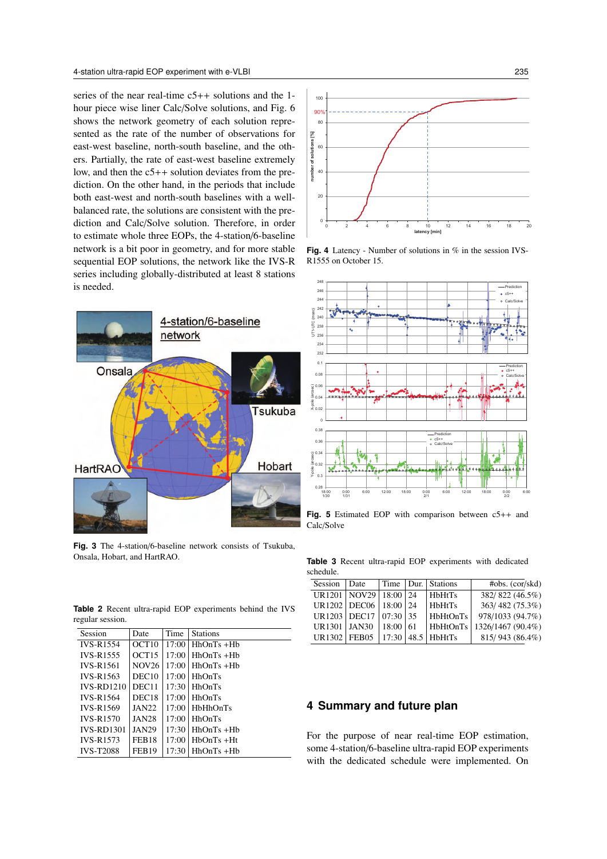series of the near real-time c5++ solutions and the 1 hour piece wise liner Calc/Solve solutions, and Fig. 6 shows the network geometry of each solution represented as the rate of the number of observations for east-west baseline, north-south baseline, and the others. Partially, the rate of east-west baseline extremely low, and then the  $c5++$  solution deviates from the prediction. On the other hand, in the periods that include both east-west and north-south baselines with a wellbalanced rate, the solutions are consistent with the prediction and Calc/Solve solution. Therefore, in order to estimate whole three EOPs, the 4-station/6-baseline network is a bit poor in geometry, and for more stable sequential EOP solutions, the network like the IVS-R series including globally-distributed at least 8 stations is needed.



**Fig. 3** The 4-station/6-baseline network consists of Tsukuba, Onsala, Hobart, and HartRAO.

**Table 2** Recent ultra-rapid EOP experiments behind the IVS regular session.

| Session           | Date              | Time  | <b>Stations</b> |
|-------------------|-------------------|-------|-----------------|
| <b>IVS-R1554</b>  | OCT <sub>10</sub> | 17:00 | $HhOnTs + Hh$   |
| <b>IVS-R1555</b>  | OCT15             | 17:00 | $HhOnTs + Hb$   |
| <b>IVS-R1561</b>  | <b>NOV26</b>      | 17:00 | $HhOnTs + Hb$   |
| <b>IVS-R1563</b>  | DEC10             | 17:00 | <b>HhOnTs</b>   |
| $IVS-RD1210$      | DEC11             | 17:30 | HhOnTs          |
| <b>IVS-R1564</b>  | DEC <sub>18</sub> | 17:00 | <b>HhOnTs</b>   |
| <b>IVS-R1569</b>  | <b>JAN22</b>      | 17:00 | <b>HbHhOnTs</b> |
| <b>IVS-R1570</b>  | <b>JAN28</b>      | 17:00 | HhOnTs          |
| <b>IVS-RD1301</b> | <b>JAN29</b>      | 17:30 | $HhOnTs + Hb$   |
| <b>IVS-R1573</b>  | FEB <sub>18</sub> | 17:00 | $HbOnTs + Ht$   |
| <b>IVS-T2088</b>  | <b>FEB19</b>      | 17:30 | $HhOnTs + Hb$   |







**Fig. 5** Estimated EOP with comparison between c5++ and Calc/Solve

**Table 3** Recent ultra-rapid EOP experiments with dedicated schedule.

| Session Date                           |  |  |  | Time Dur. Stations | #obs. (cor/skd)  |  |  |  |  |
|----------------------------------------|--|--|--|--------------------|------------------|--|--|--|--|
| UR1201   NOV29   18:00   24            |  |  |  | HbHtTs             | 382/822 (46.5%)  |  |  |  |  |
| UR1202   DEC06   18:00   24            |  |  |  | HbHtTs             | 363/482 (75.3%)  |  |  |  |  |
| UR1203   DEC17   07:30   35            |  |  |  | HbHtOnTs           | 978/1033 (94.7%) |  |  |  |  |
| UR1301   JAN30   18:00   61            |  |  |  | HbHtOnTs           | 1326/1467(90.4%) |  |  |  |  |
| UR1302   FEB05   17:30   48.5   HbHtTs |  |  |  |                    | 815/943 (86.4%)  |  |  |  |  |

# **4 Summary and future plan**

For the purpose of near real-time EOP estimation, some 4-station/6-baseline ultra-rapid EOP experiments with the dedicated schedule were implemented. On